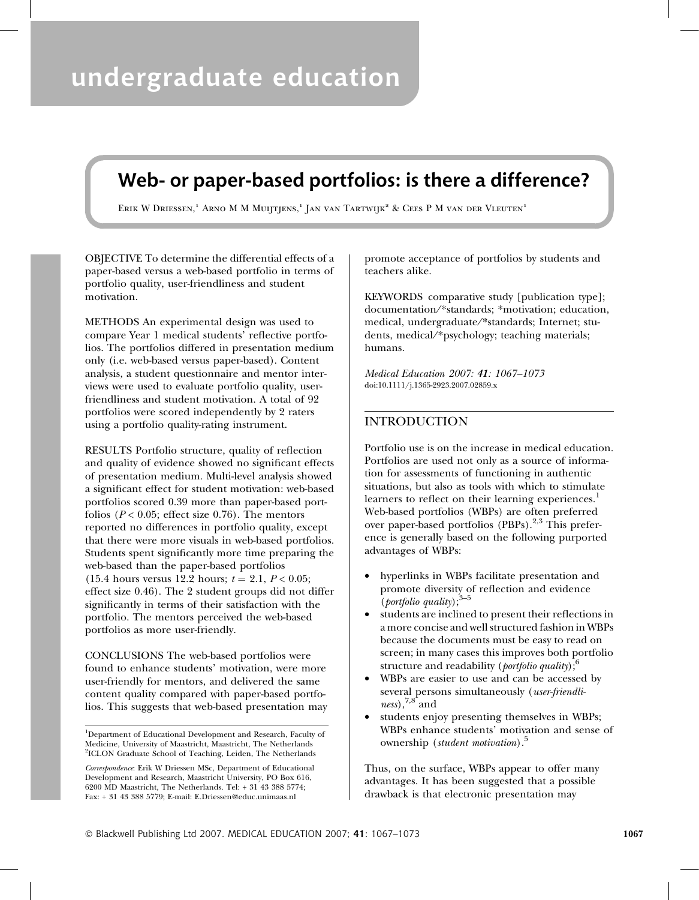# Web- or paper-based portfolios: is there a difference?

ERIK W DRIESSEN,<sup>1</sup> ARNO M M MUIJTJENS,<sup>1</sup> JAN VAN TARTWIJK<sup>2</sup> & CEES P M van der Vleuten<sup>1</sup>

OBJECTIVE To determine the differential effects of a paper-based versus a web-based portfolio in terms of portfolio quality, user-friendliness and student motivation.

METHODS An experimental design was used to compare Year 1 medical students' reflective portfolios. The portfolios differed in presentation medium only (i.e. web-based versus paper-based). Content analysis, a student questionnaire and mentor interviews were used to evaluate portfolio quality, userfriendliness and student motivation. A total of 92 portfolios were scored independently by 2 raters using a portfolio quality-rating instrument.

RESULTS Portfolio structure, quality of reflection and quality of evidence showed no significant effects of presentation medium. Multi-level analysis showed a significant effect for student motivation: web-based portfolios scored 0.39 more than paper-based portfolios ( $P < 0.05$ ; effect size 0.76). The mentors reported no differences in portfolio quality, except that there were more visuals in web-based portfolios. Students spent significantly more time preparing the web-based than the paper-based portfolios (15.4 hours versus 12.2 hours;  $t = 2.1, P < 0.05$ ; effect size 0.46). The 2 student groups did not differ significantly in terms of their satisfaction with the portfolio. The mentors perceived the web-based portfolios as more user-friendly.

CONCLUSIONS The web-based portfolios were found to enhance students' motivation, were more user-friendly for mentors, and delivered the same content quality compared with paper-based portfolios. This suggests that web-based presentation may promote acceptance of portfolios by students and teachers alike.

KEYWORDS comparative study [publication type]; documentation⁄ \*standards; \*motivation; education, medical, undergraduate/\*standards; Internet; students, medical/\*psychology; teaching materials; humans.

Medical Education 2007: 41: 1067–1073 doi:10.1111/j.1365-2923.2007.02859.x

# INTRODUCTION

Portfolio use is on the increase in medical education. Portfolios are used not only as a source of information for assessments of functioning in authentic situations, but also as tools with which to stimulate learners to reflect on their learning experiences.<sup>1</sup> Web-based portfolios (WBPs) are often preferred over paper-based portfolios  $(PBPs)$ .<sup>2,3</sup> This preference is generally based on the following purported advantages of WBPs:

- hyperlinks in WBPs facilitate presentation and promote diversity of reflection and evidence (portfolio quality); $3-5$
- students are inclined to present their reflections in a more concise and well structured fashion in WBPs because the documents must be easy to read on screen; in many cases this improves both portfolio structure and readability (*portfolio quality*);<sup>6</sup>
- WBPs are easier to use and can be accessed by several persons simultaneously (user-friendli $ness)$ ,  $7.8$  and
- students enjoy presenting themselves in WBPs; WBPs enhance students' motivation and sense of ownership (student motivation).<sup>5</sup>

Thus, on the surface, WBPs appear to offer many advantages. It has been suggested that a possible drawback is that electronic presentation may

<sup>&</sup>lt;sup>1</sup>Department of Educational Development and Research, Faculty of Medicine, University of Maastricht, Maastricht, The Netherlands <sup>2</sup>ICLON Graduate School of Teaching, Leiden, The Netherlands

Correspondence: Erik W Driessen MSc, Department of Educational Development and Research, Maastricht University, PO Box 616, 6200 MD Maastricht, The Netherlands. Tel: + 31 43 388 5774; Fax: + 31 43 388 5779; E-mail: E.Driessen@educ.unimaas.nl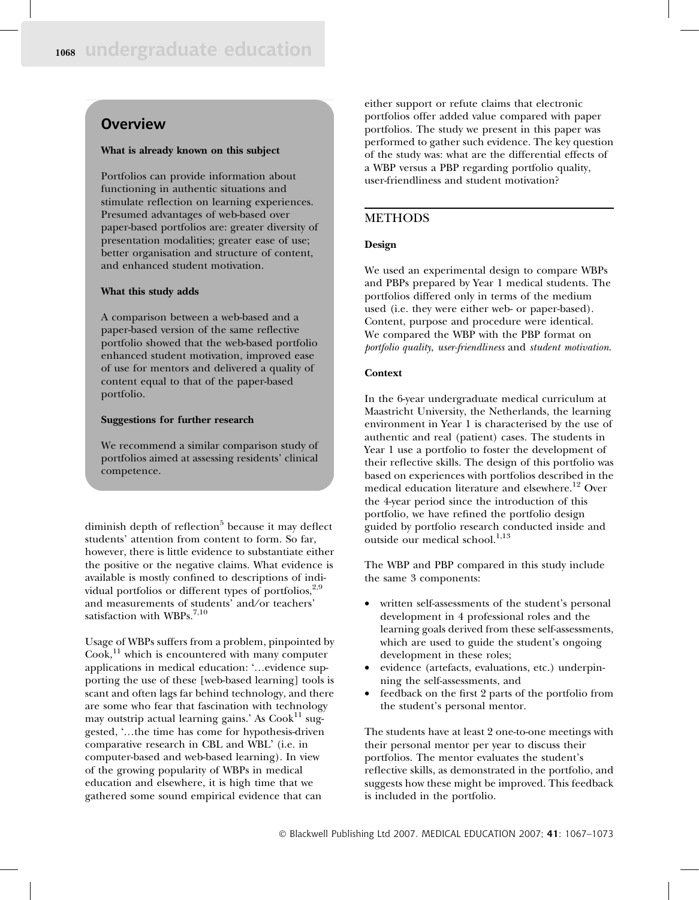# **Overview**

# What is already known on this subject

Portfolios can provide information about functioning in authentic situations and stimulate reflection on learning experiences. Presumed advantages of web-based over paper-based portfolios are: greater diversity of presentation modalities; greater ease of use; better organisation and structure of content, and enhanced student motivation.

# What this study adds

A comparison between a web-based and a paper-based version of the same reflective portfolio showed that the web-based portfolio enhanced student motivation, improved ease of use for mentors and delivered a quality of content equal to that of the paper-based portfolio.

## Suggestions for further research

We recommend a similar comparison study of portfolios aimed at assessing residents' clinical competence.

diminish depth of reflection<sup>5</sup> because it may deflect students' attention from content to form. So far, however, there is little evidence to substantiate either the positive or the negative claims. What evidence is available is mostly confined to descriptions of individual portfolios or different types of portfolios,  $2,9$ and measurements of students' and⁄ or teachers' satisfaction with WBPs.<sup>7,10</sup>

Usage of WBPs suffers from a problem, pinpointed by  $Cook<sub>1</sub><sup>11</sup>$  which is encountered with many computer applications in medical education: '...evidence supporting the use of these [web-based learning] tools is scant and often lags far behind technology, and there are some who fear that fascination with technology may outstrip actual learning gains.' As  $\mathrm{Cook}^{11}$  suggested, '...the time has come for hypothesis-driven comparative research in CBL and WBL (i.e. in computer-based and web-based learning). In view of the growing popularity of WBPs in medical education and elsewhere, it is high time that we gathered some sound empirical evidence that can

either support or refute claims that electronic portfolios offer added value compared with paper portfolios. The study we present in this paper was performed to gather such evidence. The key question of the study was: what are the differential effects of a WBP versus a PBP regarding portfolio quality, user-friendliness and student motivation?

# **METHODS**

# Design

We used an experimental design to compare WBPs and PBPs prepared by Year 1 medical students. The portfolios differed only in terms of the medium used (i.e. they were either web- or paper-based). Content, purpose and procedure were identical. We compared the WBP with the PBP format on portfolio quality, user-friendliness and student motivation.

# Context

In the 6-year undergraduate medical curriculum at Maastricht University, the Netherlands, the learning environment in Year 1 is characterised by the use of authentic and real (patient) cases. The students in Year 1 use a portfolio to foster the development of their reflective skills. The design of this portfolio was based on experiences with portfolios described in the medical education literature and elsewhere.<sup>12</sup> Over the 4-year period since the introduction of this portfolio, we have refined the portfolio design guided by portfolio research conducted inside and outside our medical school.<sup>1,13</sup>

The WBP and PBP compared in this study include the same 3 components:

- written self-assessments of the student's personal development in 4 professional roles and the learning goals derived from these self-assessments, which are used to guide the student's ongoing development in these roles;
- evidence (artefacts, evaluations, etc.) underpinning the self-assessments, and
- feedback on the first 2 parts of the portfolio from the student's personal mentor.

The students have at least 2 one-to-one meetings with their personal mentor per year to discuss their portfolios. The mentor evaluates the student's reflective skills, as demonstrated in the portfolio, and suggests how these might be improved. This feedback is included in the portfolio.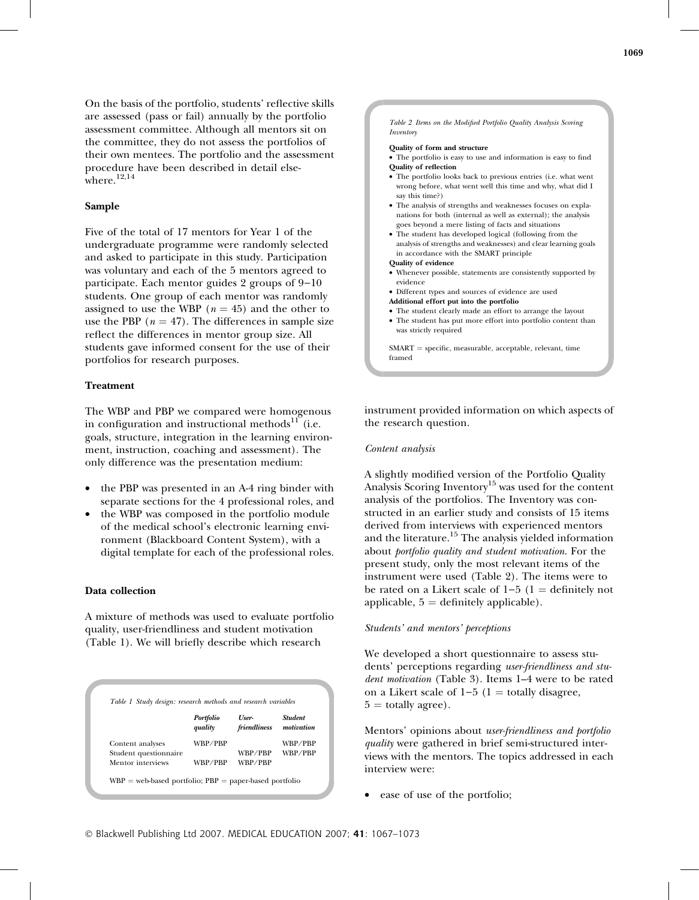On the basis of the portfolio, students' reflective skills are assessed (pass or fail) annually by the portfolio assessment committee. Although all mentors sit on the committee, they do not assess the portfolios of their own mentees. The portfolio and the assessment procedure have been described in detail elsewhere. $12,14$ 

#### Sample

Five of the total of 17 mentors for Year 1 of the undergraduate programme were randomly selected and asked to participate in this study. Participation was voluntary and each of the 5 mentors agreed to participate. Each mentor guides  $2$  groups of  $9-10$ students. One group of each mentor was randomly assigned to use the WBP ( $n = 45$ ) and the other to use the PBP ( $n = 47$ ). The differences in sample size reflect the differences in mentor group size. All students gave informed consent for the use of their portfolios for research purposes.

#### Treatment

The WBP and PBP we compared were homogenous in configuration and instructional methods $^{11}$  (i.e. goals, structure, integration in the learning environment, instruction, coaching and assessment). The only difference was the presentation medium:

- the PBP was presented in an A-4 ring binder with separate sections for the 4 professional roles, and
- the WBP was composed in the portfolio module of the medical school's electronic learning environment (Blackboard Content System), with a digital template for each of the professional roles.

# Data collection

A mixture of methods was used to evaluate portfolio quality, user-friendliness and student motivation (Table 1). We will briefly describe which research

|                       | Portfolio<br>quality | User-<br>friendliness | <b>Student</b><br>motivation |
|-----------------------|----------------------|-----------------------|------------------------------|
| Content analyses      | WBP/PBP              |                       | WBP/PBP                      |
| Student questionnaire |                      | WBP/PBP               | WBP/PBP                      |
| Mentor interviews     | WBP/PBP              | WBP/PBP               |                              |

Table 2 Items on the Modified Portfolio Quality Analysis Scoring **Inventory** 

#### Quality of form and structure

- The portfolio is easy to use and information is easy to find Quality of reflection
- The portfolio looks back to previous entries (i.e. what went wrong before, what went well this time and why, what did I say this time?)
- The analysis of strengths and weaknesses focuses on explanations for both (internal as well as external); the analysis goes beyond a mere listing of facts and situations
- The student has developed logical (following from the analysis of strengths and weaknesses) and clear learning goals in accordance with the SMART principle

#### Quality of evidence

- Whenever possible, statements are consistently supported by evidence
- Different types and sources of evidence are used
- Additional effort put into the portfolio
- The student clearly made an effort to arrange the layout
- The student has put more effort into portfolio content than was strictly required

 $SMARK = specific$ , measurable, acceptable, relevant, time framed

instrument provided information on which aspects of the research question.

#### Content analysis

A slightly modified version of the Portfolio Quality Analysis Scoring Inventory<sup>15</sup> was used for the content analysis of the portfolios. The Inventory was constructed in an earlier study and consists of 15 items derived from interviews with experienced mentors and the literature.<sup>15</sup> The analysis yielded information about portfolio quality and student motivation. For the present study, only the most relevant items of the instrument were used (Table 2). The items were to be rated on a Likert scale of  $1-5$  (1 = definitely not applicable,  $5 =$  definitely applicable).

#### Students' and mentors' perceptions

We developed a short questionnaire to assess students' perceptions regarding user-friendliness and student motivation (Table 3). Items 1–4 were to be rated on a Likert scale of  $1-5$  ( $1 =$  totally disagree,  $5 =$  totally agree).

Mentors' opinions about user-friendliness and portfolio quality were gathered in brief semi-structured interviews with the mentors. The topics addressed in each interview were:

ease of use of the portfolio;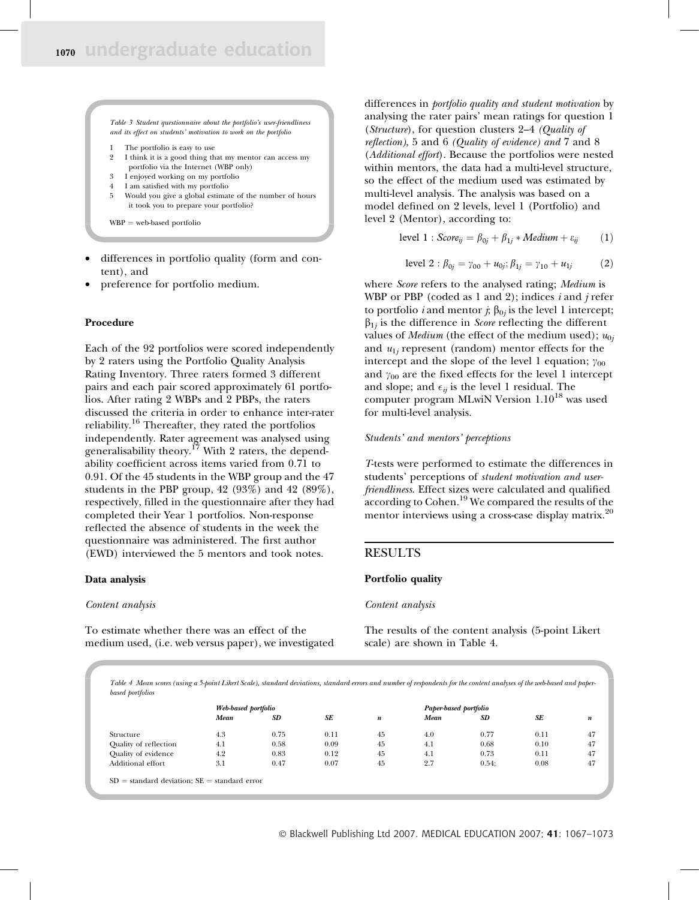Table 3 Student questionnaire about the portfolio's user-friendliness and its effect on students' motivation to work on the portfolio

- The portfolio is easy to use
- 2 I think it is a good thing that my mentor can access my portfolio via the Internet (WBP only)
- 3 I enjoyed working on my portfolio
- 4 I am satisfied with my portfolio
- 5 Would you give a global estimate of the number of hours it took you to prepare your portfolio?

 $WBP = web-based portfolio$ 

- differences in portfolio quality (form and content), and
- preference for portfolio medium.

## Procedure

Each of the 92 portfolios were scored independently by 2 raters using the Portfolio Quality Analysis Rating Inventory. Three raters formed 3 different pairs and each pair scored approximately 61 portfolios. After rating 2 WBPs and 2 PBPs, the raters discussed the criteria in order to enhance inter-rater reliability.<sup>16</sup> Thereafter, they rated the portfolios independently. Rater agreement was analysed using generalisability theory.<sup>17</sup> With 2 raters, the dependability coefficient across items varied from 0.71 to 0.91. Of the 45 students in the WBP group and the 47 students in the PBP group, 42 (93%) and 42 (89%), respectively, filled in the questionnaire after they had completed their Year 1 portfolios. Non-response reflected the absence of students in the week the questionnaire was administered. The first author (EWD) interviewed the 5 mentors and took notes.

#### Data analysis

#### Content analysis

To estimate whether there was an effect of the medium used, (i.e. web versus paper), we investigated differences in portfolio quality and student motivation by analysing the rater pairs' mean ratings for question 1 (Structure), for question clusters 2–4 (Quality of reflection), 5 and 6 (Quality of evidence) and 7 and 8 (Additional effort). Because the portfolios were nested within mentors, the data had a multi-level structure, so the effect of the medium used was estimated by multi-level analysis. The analysis was based on a model defined on 2 levels, level 1 (Portfolio) and level 2 (Mentor), according to:

$$
level 1 : Score_{ij} = \beta_{0j} + \beta_{1j} * Medium + \varepsilon_{ij}
$$
 (1)

$$
level 2 : \beta_{0j} = \gamma_{00} + u_{0j}; \beta_{1j} = \gamma_{10} + u_{1j} \tag{2}
$$

where *Score* refers to the analysed rating; *Medium* is WBP or PBP (coded as 1 and 2); indices  $i$  and  $j$  refer to portfolio *i* and mentor  $\dot{r}$ ,  $\beta_{0i}$  is the level 1 intercept;  $\beta_{1i}$  is the difference in *Score* reflecting the different values of *Medium* (the effect of the medium used);  $u_{0i}$ and  $u_{1i}$  represent (random) mentor effects for the intercept and the slope of the level 1 equation;  $\gamma_{00}$ and  $\gamma_{00}$  are the fixed effects for the level 1 intercept and slope; and  $\epsilon_{ij}$  is the level 1 residual. The computer program MLwiN Version  $1.10^{18}$  was used for multi-level analysis.

## Students' and mentors' perceptions

T-tests were performed to estimate the differences in students' perceptions of student motivation and userfriendliness. Effect sizes were calculated and qualified according to Cohen.<sup>19</sup> We compared the results of the mentor interviews using a cross-case display matrix.<sup>20</sup>

# **RESULTS**

## Portfolio quality

Content analysis

The results of the content analysis (5-point Likert scale) are shown in Table 4.

Table 4 Mean scores (using a 5-point Likert Scale), standard deviations, standard errors and number of respondents for the content analyses of the web-based and paperbased portfolios

| n  | Mean | SD    | SE   | n  |
|----|------|-------|------|----|
|    |      |       |      |    |
| 45 | 4.0  | 0.77  | 0.11 | 47 |
| 45 | 4.1  | 0.68  | 0.10 | 47 |
| 45 | 4.1  | 0.73  | 0.11 | 47 |
| 45 | 2.7  | 0.54; | 0.08 | 47 |
|    |      |       |      |    |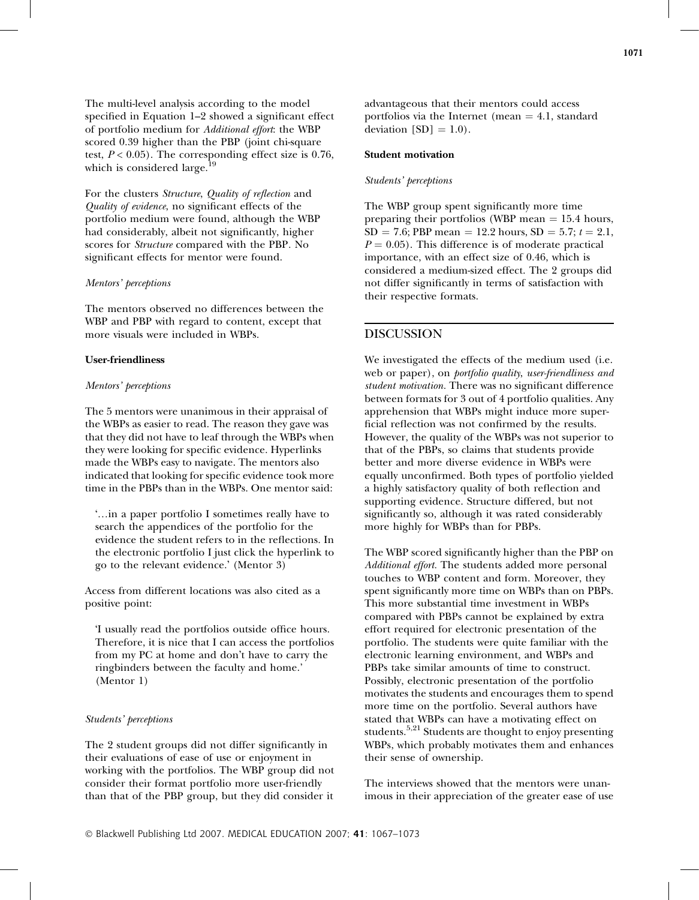The multi-level analysis according to the model specified in Equation 1–2 showed a significant effect of portfolio medium for Additional effort: the WBP scored 0.39 higher than the PBP (joint chi-square test,  $P < 0.05$ ). The corresponding effect size is 0.76, which is considered large. $^{19}$ 

For the clusters Structure, Quality of reflection and Quality of evidence, no significant effects of the portfolio medium were found, although the WBP had considerably, albeit not significantly, higher scores for Structure compared with the PBP. No significant effects for mentor were found.

#### Mentors' perceptions

The mentors observed no differences between the WBP and PBP with regard to content, except that more visuals were included in WBPs.

#### User-friendliness

#### Mentors' perceptions

The 5 mentors were unanimous in their appraisal of the WBPs as easier to read. The reason they gave was that they did not have to leaf through the WBPs when they were looking for specific evidence. Hyperlinks made the WBPs easy to navigate. The mentors also indicated that looking for specific evidence took more time in the PBPs than in the WBPs. One mentor said:

-…in a paper portfolio I sometimes really have to search the appendices of the portfolio for the evidence the student refers to in the reflections. In the electronic portfolio I just click the hyperlink to go to the relevant evidence. (Mentor 3)

Access from different locations was also cited as a positive point:

-I usually read the portfolios outside office hours. Therefore, it is nice that I can access the portfolios from my PC at home and don't have to carry the ringbinders between the faculty and home.' (Mentor 1)

# Students' perceptions

The 2 student groups did not differ significantly in their evaluations of ease of use or enjoyment in working with the portfolios. The WBP group did not consider their format portfolio more user-friendly than that of the PBP group, but they did consider it

advantageous that their mentors could access portfolios via the Internet (mean  $= 4.1$ , standard deviation  $[SD] = 1.0$ .

#### Student motivation

#### Students' perceptions

The WBP group spent significantly more time preparing their portfolios (WBP mean  $= 15.4$  hours,  $SD = 7.6$ ; PBP mean = 12.2 hours,  $SD = 5.7$ ;  $t = 2.1$ ,  $P = 0.05$ ). This difference is of moderate practical importance, with an effect size of 0.46, which is considered a medium-sized effect. The 2 groups did not differ significantly in terms of satisfaction with their respective formats.

## **DISCUSSION**

We investigated the effects of the medium used (i.e. web or paper), on *portfolio quality*, *user-friendliness and* student motivation. There was no significant difference between formats for 3 out of 4 portfolio qualities. Any apprehension that WBPs might induce more superficial reflection was not confirmed by the results. However, the quality of the WBPs was not superior to that of the PBPs, so claims that students provide better and more diverse evidence in WBPs were equally unconfirmed. Both types of portfolio yielded a highly satisfactory quality of both reflection and supporting evidence. Structure differed, but not significantly so, although it was rated considerably more highly for WBPs than for PBPs.

The WBP scored significantly higher than the PBP on Additional effort. The students added more personal touches to WBP content and form. Moreover, they spent significantly more time on WBPs than on PBPs. This more substantial time investment in WBPs compared with PBPs cannot be explained by extra effort required for electronic presentation of the portfolio. The students were quite familiar with the electronic learning environment, and WBPs and PBPs take similar amounts of time to construct. Possibly, electronic presentation of the portfolio motivates the students and encourages them to spend more time on the portfolio. Several authors have stated that WBPs can have a motivating effect on students.<sup>5,21</sup> Students are thought to enjoy presenting WBPs, which probably motivates them and enhances their sense of ownership.

The interviews showed that the mentors were unanimous in their appreciation of the greater ease of use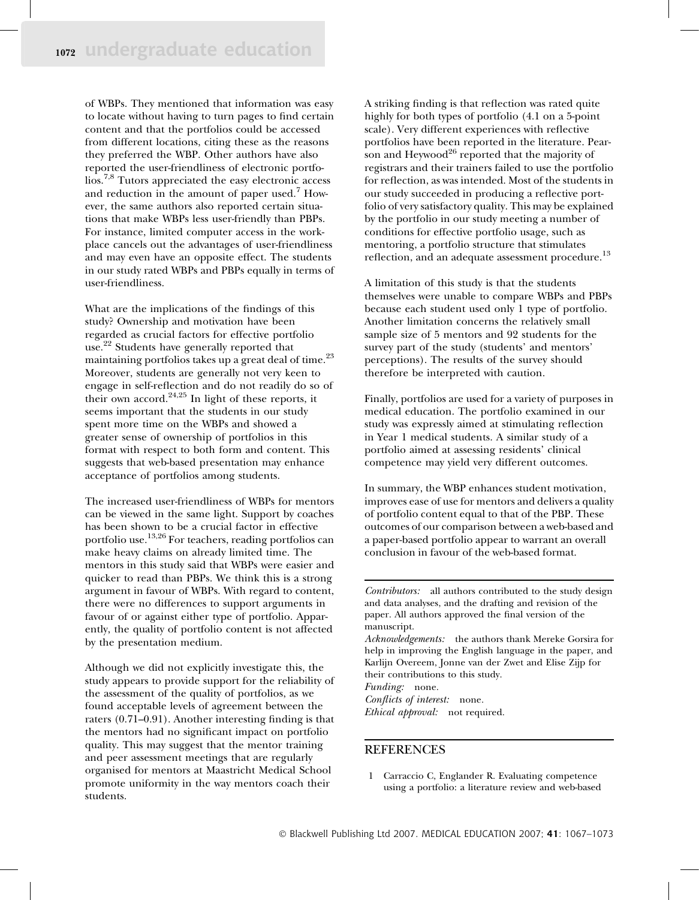of WBPs. They mentioned that information was easy to locate without having to turn pages to find certain content and that the portfolios could be accessed from different locations, citing these as the reasons they preferred the WBP. Other authors have also reported the user-friendliness of electronic portfolios.7,8 Tutors appreciated the easy electronic access and reduction in the amount of paper used.<sup>7</sup> However, the same authors also reported certain situations that make WBPs less user-friendly than PBPs. For instance, limited computer access in the workplace cancels out the advantages of user-friendliness and may even have an opposite effect. The students in our study rated WBPs and PBPs equally in terms of user-friendliness.

What are the implications of the findings of this study? Ownership and motivation have been regarded as crucial factors for effective portfolio use.<sup>22</sup> Students have generally reported that maintaining portfolios takes up a great deal of time.<sup>23</sup> Moreover, students are generally not very keen to engage in self-reflection and do not readily do so of their own accord. $24,25$  In light of these reports, it seems important that the students in our study spent more time on the WBPs and showed a greater sense of ownership of portfolios in this format with respect to both form and content. This suggests that web-based presentation may enhance acceptance of portfolios among students.

The increased user-friendliness of WBPs for mentors can be viewed in the same light. Support by coaches has been shown to be a crucial factor in effective portfolio use.13,26 For teachers, reading portfolios can make heavy claims on already limited time. The mentors in this study said that WBPs were easier and quicker to read than PBPs. We think this is a strong argument in favour of WBPs. With regard to content, there were no differences to support arguments in favour of or against either type of portfolio. Apparently, the quality of portfolio content is not affected by the presentation medium.

Although we did not explicitly investigate this, the study appears to provide support for the reliability of the assessment of the quality of portfolios, as we found acceptable levels of agreement between the raters (0.71–0.91). Another interesting finding is that the mentors had no significant impact on portfolio quality. This may suggest that the mentor training and peer assessment meetings that are regularly organised for mentors at Maastricht Medical School promote uniformity in the way mentors coach their students.

A striking finding is that reflection was rated quite highly for both types of portfolio (4.1 on a 5-point scale). Very different experiences with reflective portfolios have been reported in the literature. Pearson and Heywood<sup>26</sup> reported that the majority of registrars and their trainers failed to use the portfolio for reflection, as was intended. Most of the students in our study succeeded in producing a reflective portfolio of very satisfactory quality. This may be explained by the portfolio in our study meeting a number of conditions for effective portfolio usage, such as mentoring, a portfolio structure that stimulates reflection, and an adequate assessment procedure.<sup>13</sup>

A limitation of this study is that the students themselves were unable to compare WBPs and PBPs because each student used only 1 type of portfolio. Another limitation concerns the relatively small sample size of 5 mentors and 92 students for the survey part of the study (students' and mentors' perceptions). The results of the survey should therefore be interpreted with caution.

Finally, portfolios are used for a variety of purposes in medical education. The portfolio examined in our study was expressly aimed at stimulating reflection in Year 1 medical students. A similar study of a portfolio aimed at assessing residents' clinical competence may yield very different outcomes.

In summary, the WBP enhances student motivation, improves ease of use for mentors and delivers a quality of portfolio content equal to that of the PBP. These outcomes of our comparison between a web-based and a paper-based portfolio appear to warrant an overall conclusion in favour of the web-based format.

Funding: none.

Conflicts of interest: none. Ethical approval: not required.

# **REFERENCES**

1 Carraccio C, Englander R. Evaluating competence using a portfolio: a literature review and web-based

Contributors: all authors contributed to the study design and data analyses, and the drafting and revision of the paper. All authors approved the final version of the manuscript.

Acknowledgements: the authors thank Mereke Gorsira for help in improving the English language in the paper, and Karlijn Overeem, Jonne van der Zwet and Elise Zijp for their contributions to this study.